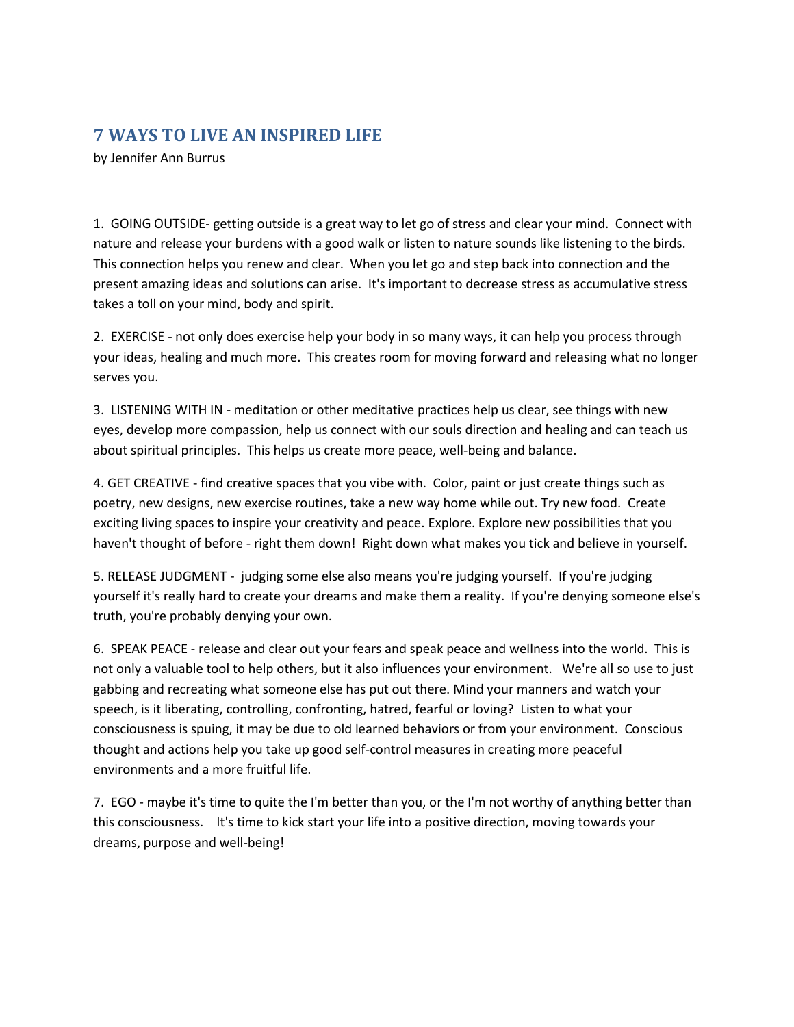## **7 WAYS TO LIVE AN INSPIRED LIFE**

by Jennifer Ann Burrus

1. GOING OUTSIDE- getting outside is a great way to let go of stress and clear your mind. Connect with nature and release your burdens with a good walk or listen to nature sounds like listening to the birds. This connection helps you renew and clear. When you let go and step back into connection and the present amazing ideas and solutions can arise. It's important to decrease stress as accumulative stress takes a toll on your mind, body and spirit.

2. EXERCISE - not only does exercise help your body in so many ways, it can help you process through your ideas, healing and much more. This creates room for moving forward and releasing what no longer serves you.

3. LISTENING WITH IN - meditation or other meditative practices help us clear, see things with new eyes, develop more compassion, help us connect with our souls direction and healing and can teach us about spiritual principles. This helps us create more peace, well-being and balance.

4. GET CREATIVE - find creative spaces that you vibe with. Color, paint or just create things such as poetry, new designs, new exercise routines, take a new way home while out. Try new food. Create exciting living spaces to inspire your creativity and peace. Explore. Explore new possibilities that you haven't thought of before - right them down! Right down what makes you tick and believe in yourself.

5. RELEASE JUDGMENT - judging some else also means you're judging yourself. If you're judging yourself it's really hard to create your dreams and make them a reality. If you're denying someone else's truth, you're probably denying your own.

6. SPEAK PEACE - release and clear out your fears and speak peace and wellness into the world. This is not only a valuable tool to help others, but it also influences your environment. We're all so use to just gabbing and recreating what someone else has put out there. Mind your manners and watch your speech, is it liberating, controlling, confronting, hatred, fearful or loving? Listen to what your consciousness is spuing, it may be due to old learned behaviors or from your environment. Conscious thought and actions help you take up good self-control measures in creating more peaceful environments and a more fruitful life.

7. EGO - maybe it's time to quite the I'm better than you, or the I'm not worthy of anything better than this consciousness. It's time to kick start your life into a positive direction, moving towards your dreams, purpose and well-being!